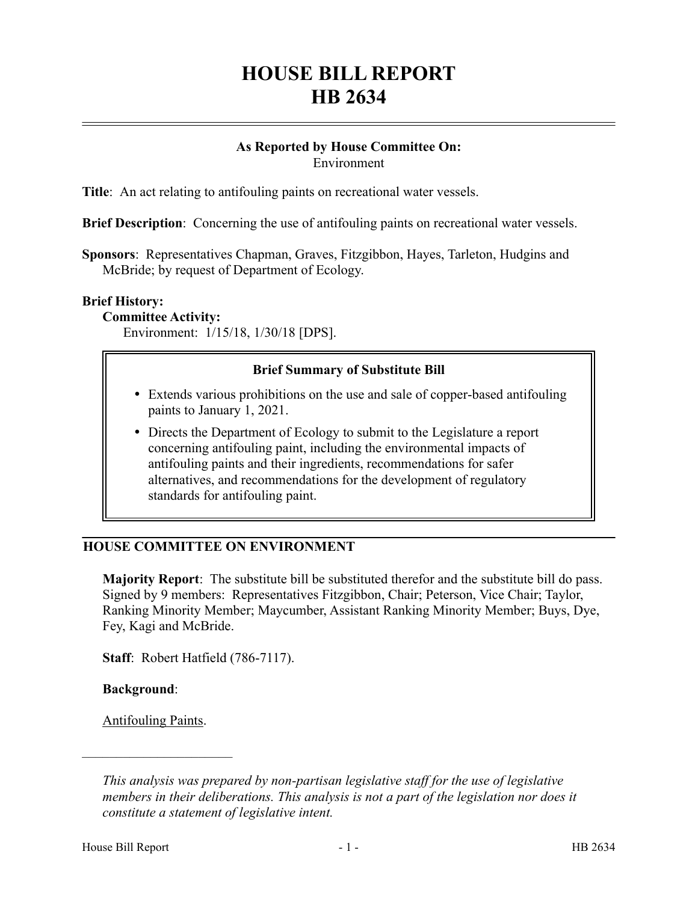# **HOUSE BILL REPORT HB 2634**

#### **As Reported by House Committee On:** Environment

**Title**: An act relating to antifouling paints on recreational water vessels.

**Brief Description**: Concerning the use of antifouling paints on recreational water vessels.

**Sponsors**: Representatives Chapman, Graves, Fitzgibbon, Hayes, Tarleton, Hudgins and McBride; by request of Department of Ecology.

#### **Brief History:**

**Committee Activity:**

Environment: 1/15/18, 1/30/18 [DPS].

# **Brief Summary of Substitute Bill**

- Extends various prohibitions on the use and sale of copper-based antifouling paints to January 1, 2021.
- Directs the Department of Ecology to submit to the Legislature a report concerning antifouling paint, including the environmental impacts of antifouling paints and their ingredients, recommendations for safer alternatives, and recommendations for the development of regulatory standards for antifouling paint.

# **HOUSE COMMITTEE ON ENVIRONMENT**

**Majority Report**: The substitute bill be substituted therefor and the substitute bill do pass. Signed by 9 members: Representatives Fitzgibbon, Chair; Peterson, Vice Chair; Taylor, Ranking Minority Member; Maycumber, Assistant Ranking Minority Member; Buys, Dye, Fey, Kagi and McBride.

**Staff**: Robert Hatfield (786-7117).

**Background**:

Antifouling Paints.

––––––––––––––––––––––

*This analysis was prepared by non-partisan legislative staff for the use of legislative members in their deliberations. This analysis is not a part of the legislation nor does it constitute a statement of legislative intent.*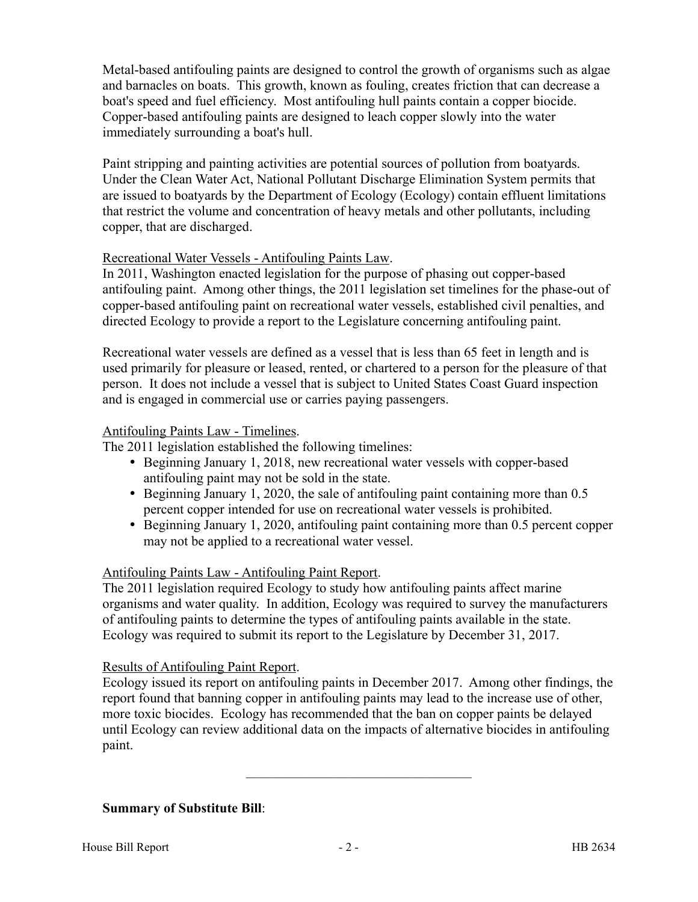Metal-based antifouling paints are designed to control the growth of organisms such as algae and barnacles on boats. This growth, known as fouling, creates friction that can decrease a boat's speed and fuel efficiency. Most antifouling hull paints contain a copper biocide. Copper-based antifouling paints are designed to leach copper slowly into the water immediately surrounding a boat's hull.

Paint stripping and painting activities are potential sources of pollution from boatyards. Under the Clean Water Act, National Pollutant Discharge Elimination System permits that are issued to boatyards by the Department of Ecology (Ecology) contain effluent limitations that restrict the volume and concentration of heavy metals and other pollutants, including copper, that are discharged.

# Recreational Water Vessels - Antifouling Paints Law.

In 2011, Washington enacted legislation for the purpose of phasing out copper-based antifouling paint. Among other things, the 2011 legislation set timelines for the phase-out of copper-based antifouling paint on recreational water vessels, established civil penalties, and directed Ecology to provide a report to the Legislature concerning antifouling paint.

Recreational water vessels are defined as a vessel that is less than 65 feet in length and is used primarily for pleasure or leased, rented, or chartered to a person for the pleasure of that person. It does not include a vessel that is subject to United States Coast Guard inspection and is engaged in commercial use or carries paying passengers.

#### Antifouling Paints Law - Timelines.

The 2011 legislation established the following timelines:

- Beginning January 1, 2018, new recreational water vessels with copper-based antifouling paint may not be sold in the state.
- Beginning January 1, 2020, the sale of antifouling paint containing more than 0.5 percent copper intended for use on recreational water vessels is prohibited.
- Beginning January 1, 2020, antifouling paint containing more than 0.5 percent copper may not be applied to a recreational water vessel.

# Antifouling Paints Law - Antifouling Paint Report.

The 2011 legislation required Ecology to study how antifouling paints affect marine organisms and water quality. In addition, Ecology was required to survey the manufacturers of antifouling paints to determine the types of antifouling paints available in the state. Ecology was required to submit its report to the Legislature by December 31, 2017.

#### Results of Antifouling Paint Report.

Ecology issued its report on antifouling paints in December 2017. Among other findings, the report found that banning copper in antifouling paints may lead to the increase use of other, more toxic biocides. Ecology has recommended that the ban on copper paints be delayed until Ecology can review additional data on the impacts of alternative biocides in antifouling paint.

–––––––––––––––––––––––––––––––––

# **Summary of Substitute Bill**: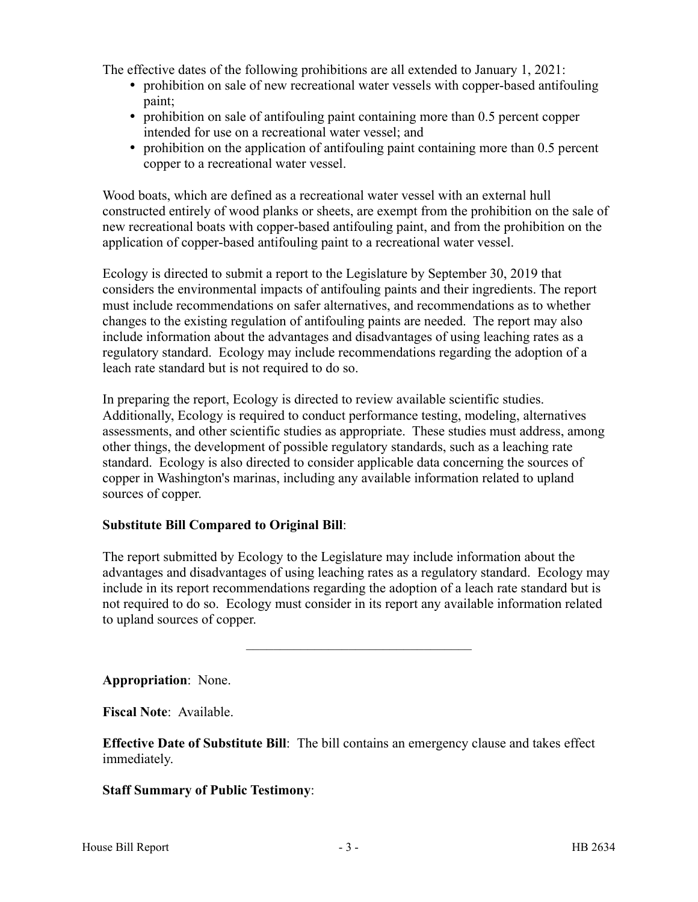The effective dates of the following prohibitions are all extended to January 1, 2021:

- prohibition on sale of new recreational water vessels with copper-based antifouling paint;
- prohibition on sale of antifouling paint containing more than 0.5 percent copper intended for use on a recreational water vessel; and
- prohibition on the application of antifouling paint containing more than 0.5 percent copper to a recreational water vessel.

Wood boats, which are defined as a recreational water vessel with an external hull constructed entirely of wood planks or sheets, are exempt from the prohibition on the sale of new recreational boats with copper-based antifouling paint, and from the prohibition on the application of copper-based antifouling paint to a recreational water vessel.

Ecology is directed to submit a report to the Legislature by September 30, 2019 that considers the environmental impacts of antifouling paints and their ingredients. The report must include recommendations on safer alternatives, and recommendations as to whether changes to the existing regulation of antifouling paints are needed. The report may also include information about the advantages and disadvantages of using leaching rates as a regulatory standard. Ecology may include recommendations regarding the adoption of a leach rate standard but is not required to do so.

In preparing the report, Ecology is directed to review available scientific studies. Additionally, Ecology is required to conduct performance testing, modeling, alternatives assessments, and other scientific studies as appropriate. These studies must address, among other things, the development of possible regulatory standards, such as a leaching rate standard. Ecology is also directed to consider applicable data concerning the sources of copper in Washington's marinas, including any available information related to upland sources of copper.

# **Substitute Bill Compared to Original Bill**:

The report submitted by Ecology to the Legislature may include information about the advantages and disadvantages of using leaching rates as a regulatory standard. Ecology may include in its report recommendations regarding the adoption of a leach rate standard but is not required to do so. Ecology must consider in its report any available information related to upland sources of copper.

–––––––––––––––––––––––––––––––––

**Appropriation**: None.

**Fiscal Note**: Available.

**Effective Date of Substitute Bill**: The bill contains an emergency clause and takes effect immediately.

# **Staff Summary of Public Testimony**: